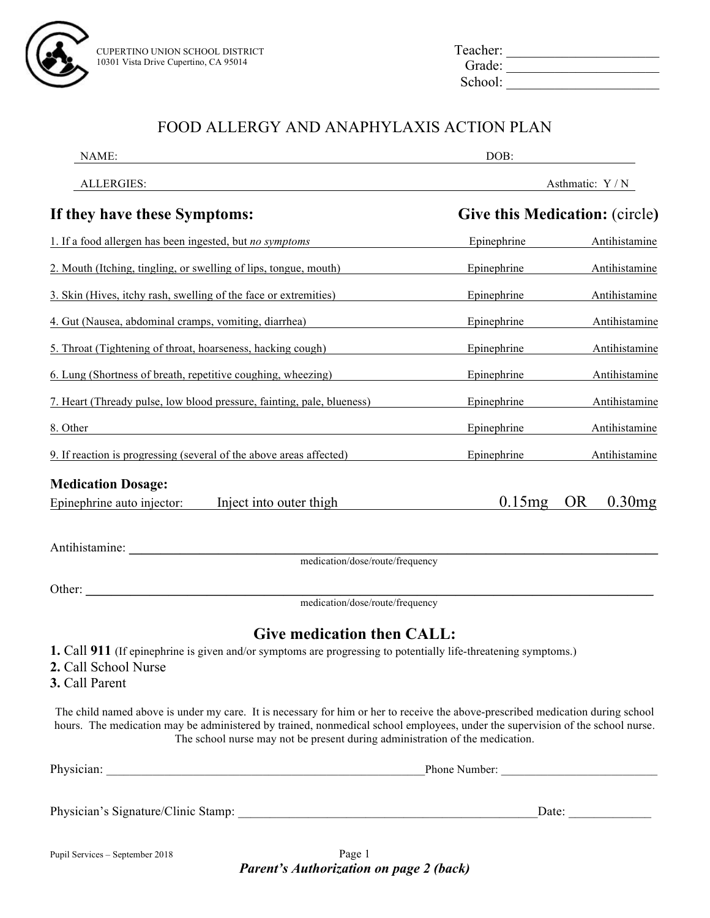

| Teacher: |  |
|----------|--|
| Grade:   |  |
| School:  |  |

## FOOD ALLERGY AND ANAPHYLAXIS ACTION PLAN

| NAME:                                                                                                                                                                                                                                                                                                                                            | DOB:        |                                       |  |
|--------------------------------------------------------------------------------------------------------------------------------------------------------------------------------------------------------------------------------------------------------------------------------------------------------------------------------------------------|-------------|---------------------------------------|--|
| ALLERGIES:                                                                                                                                                                                                                                                                                                                                       |             | Asthmatic: Y / N                      |  |
| If they have these Symptoms:                                                                                                                                                                                                                                                                                                                     |             | <b>Give this Medication: (circle)</b> |  |
| 1. If a food allergen has been ingested, but no symptoms                                                                                                                                                                                                                                                                                         | Epinephrine | Antihistamine                         |  |
| 2. Mouth (Itching, tingling, or swelling of lips, tongue, mouth)                                                                                                                                                                                                                                                                                 | Epinephrine | Antihistamine                         |  |
| 3. Skin (Hives, itchy rash, swelling of the face or extremities)                                                                                                                                                                                                                                                                                 | Epinephrine | Antihistamine                         |  |
| 4. Gut (Nausea, abdominal cramps, vomiting, diarrhea)                                                                                                                                                                                                                                                                                            | Epinephrine | Antihistamine                         |  |
| 5. Throat (Tightening of throat, hoarseness, hacking cough)                                                                                                                                                                                                                                                                                      | Epinephrine | Antihistamine                         |  |
| 6. Lung (Shortness of breath, repetitive coughing, wheezing)                                                                                                                                                                                                                                                                                     | Epinephrine | Antihistamine                         |  |
| 7. Heart (Thready pulse, low blood pressure, fainting, pale, blueness)                                                                                                                                                                                                                                                                           | Epinephrine | Antihistamine                         |  |
| 8. Other                                                                                                                                                                                                                                                                                                                                         | Epinephrine | Antihistamine                         |  |
| 9. If reaction is progressing (several of the above areas affected)                                                                                                                                                                                                                                                                              | Epinephrine | Antihistamine                         |  |
| <b>Medication Dosage:</b>                                                                                                                                                                                                                                                                                                                        |             |                                       |  |
| Inject into outer thigh<br>Epinephrine auto injector:                                                                                                                                                                                                                                                                                            | 0.15mg      | 0.30mg<br><b>OR</b>                   |  |
|                                                                                                                                                                                                                                                                                                                                                  |             |                                       |  |
| Antihistamine:<br>medication/dose/route/frequency                                                                                                                                                                                                                                                                                                |             |                                       |  |
| Other:                                                                                                                                                                                                                                                                                                                                           |             |                                       |  |
| medication/dose/route/frequency                                                                                                                                                                                                                                                                                                                  |             |                                       |  |
| <b>Give medication then CALL:</b>                                                                                                                                                                                                                                                                                                                |             |                                       |  |
| <b>1.</b> Call <b>911</b> (If epinephrine is given and/or symptoms are progressing to potentially life-threatening symptoms.)<br>2. Call School Nurse<br>3. Call Parent                                                                                                                                                                          |             |                                       |  |
| The child named above is under my care. It is necessary for him or her to receive the above-prescribed medication during school<br>hours. The medication may be administered by trained, nonmedical school employees, under the supervision of the school nurse.<br>The school nurse may not be present during administration of the medication. |             |                                       |  |
|                                                                                                                                                                                                                                                                                                                                                  |             |                                       |  |
|                                                                                                                                                                                                                                                                                                                                                  |             | Date: $\_\_$                          |  |